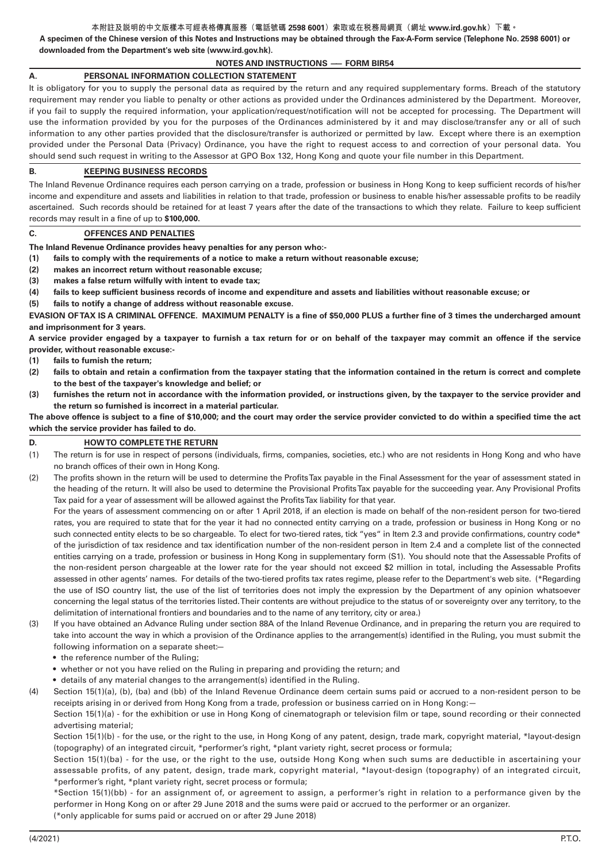#### **本附註及說明的中文版樣本可經表格傳真服務(電話號碼 2598 6001)索取或在稅務局網頁(網址 www.ird.gov.hk)下載。**

**A specimen of the Chinese version of this Notes and Instructions may be obtained through the Fax-A-Form service (Telephone No. 2598 6001) or downloaded from the Department's web site (www.ird.gov.hk).**

## **NOTES AND INSTRUCTIONS —— FORM BIR54**

# **A. PERSONAL INFORMATION COLLECTION STATEMENT**

It is obligatory for you to supply the personal data as required by the return and any required supplementary forms. Breach of the statutory requirement may render you liable to penalty or other actions as provided under the Ordinances administered by the Department. Moreover, if you fail to supply the required information, your application/request/notification will not be accepted for processing. The Department will use the information provided by you for the purposes of the Ordinances administered by it and may disclose/transfer any or all of such information to any other parties provided that the disclosure/transfer is authorized or permitted by law. Except where there is an exemption provided under the Personal Data (Privacy) Ordinance, you have the right to request access to and correction of your personal data. You should send such request in writing to the Assessor at GPO Box 132, Hong Kong and quote your file number in this Department.

## **B. KEEPING BUSINESS RECORDS**

The Inland Revenue Ordinance requires each person carrying on a trade, profession or business in Hong Kong to keep sufficient records of his/her income and expenditure and assets and liabilities in relation to that trade, profession or business to enable his/her assessable profits to be readily ascertained. Such records should be retained for at least 7 years after the date of the transactions to which they relate. Failure to keep sufficient records may result in a fine of up to **\$100,000.**

## **C. OFFENCES AND PENALTIES**

**The Inland Revenue Ordinance provides heavy penalties for any person who:-**

- **(1) fails to comply with the requirements of a notice to make a return without reasonable excuse;**
- **(2) makes an incorrect return without reasonable excuse;**
- **(3) makes a false return wilfully with intent to evade tax;**
- **(4) fails to keep sufficient business records of income and expenditure and assets and liabilities without reasonable excuse; or**
- **(5) fails to notify a change of address without reasonable excuse.**

**EVASION OF TAX IS A CRIMINAL OFFENCE. MAXIMUM PENALTY is a fine of \$50,000 PLUS a further fine of 3 times the undercharged amount and imprisonment for 3 years.**

**A service provider engaged by a taxpayer to furnish a tax return for or on behalf of the taxpayer may commit an offence if the service provider, without reasonable excuse:-**

- **(1) fails to furnish the return;**
- **(2) fails to obtain and retain a confirmation from the taxpayer stating that the information contained in the return is correct and complete to the best of the taxpayer's knowledge and belief; or**
- **(3) furnishes the return not in accordance with the information provided, or instructions given, by the taxpayer to the service provider and the return so furnished is incorrect in a material particular.**

**The above offence is subject to a fine of \$10,000; and the court may order the service provider convicted to do within a specified time the act which the service provider has failed to do.**

## **D. HOW TO COMPLETE THE RETURN**

- (1) The return is for use in respect of persons (individuals, firms, companies, societies, etc.) who are not residents in Hong Kong and who have no branch offices of their own in Hong Kong.
- (2) The profits shown in the return will be used to determine the Profits Tax payable in the Final Assessment for the year of assessment stated in the heading of the return. It will also be used to determine the Provisional Profits Tax payable for the succeeding year. Any Provisional Profits Tax paid for a year of assessment will be allowed against the Profits Tax liability for that year.

For the years of assessment commencing on or after 1 April 2018, if an election is made on behalf of the non-resident person for two-tiered rates, you are required to state that for the year it had no connected entity carrying on a trade, profession or business in Hong Kong or no such connected entity elects to be so chargeable. To elect for two-tiered rates, tick "yes" in Item 2.3 and provide confirmations, country code\* of the jurisdiction of tax residence and tax identification number of the non-resident person in Item 2.4 and a complete list of the connected entities carrying on a trade, profession or business in Hong Kong in supplementary form (S1). You should note that the Assessable Profits of the non-resident person chargeable at the lower rate for the year should not exceed \$2 million in total, including the Assessable Profits assessed in other agents' names. For details of the two-tiered profits tax rates regime, please refer to the Department's web site. (\*Regarding the use of ISO country list, the use of the list of territories does not imply the expression by the Department of any opinion whatsoever concerning the legal status of the territories listed. Their contents are without prejudice to the status of or sovereignty over any territory, to the delimitation of international frontiers and boundaries and to the name of any territory, city or area.)

- (3) If you have obtained an Advance Ruling under section 88A of the Inland Revenue Ordinance, and in preparing the return you are required to take into account the way in which a provision of the Ordinance applies to the arrangement(s) identified in the Ruling, you must submit the following information on a separate sheet:—
	- the reference number of the Ruling;
	- whether or not you have relied on the Ruling in preparing and providing the return; and
	- details of any material changes to the arrangement(s) identified in the Ruling.

(4) Section 15(1)(a), (b), (ba) and (bb) of the Inland Revenue Ordinance deem certain sums paid or accrued to a non-resident person to be receipts arising in or derived from Hong Kong from a trade, profession or business carried on in Hong Kong:—

Section 15(1)(a) - for the exhibition or use in Hong Kong of cinematograph or television film or tape, sound recording or their connected advertising material;

Section 15(1)(b) - for the use, or the right to the use, in Hong Kong of any patent, design, trade mark, copyright material, \*layout-design (topography) of an integrated circuit, \*performer's right, \*plant variety right, secret process or formula;

Section 15(1)(ba) - for the use, or the right to the use, outside Hong Kong when such sums are deductible in ascertaining your assessable profits, of any patent, design, trade mark, copyright material, \*layout-design (topography) of an integrated circuit, \*performer's right, \*plant variety right, secret process or formula;

\*Section 15(1)(bb) - for an assignment of, or agreement to assign, a performer's right in relation to a performance given by the performer in Hong Kong on or after 29 June 2018 and the sums were paid or accrued to the performer or an organizer. (\*only applicable for sums paid or accrued on or after 29 June 2018)